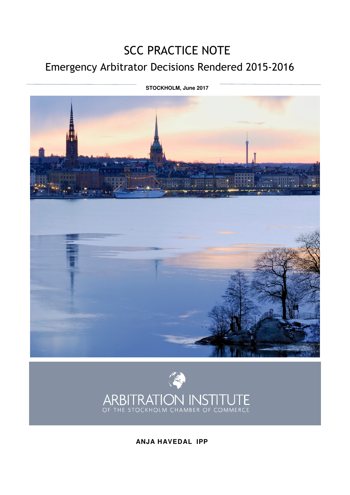# SCC PRACTICE NOTE Emergency Arbitrator Decisions Rendered 2015-2016

 **STOCKHOLM, June 2017** 





**ANJA HAVEDAL IPP**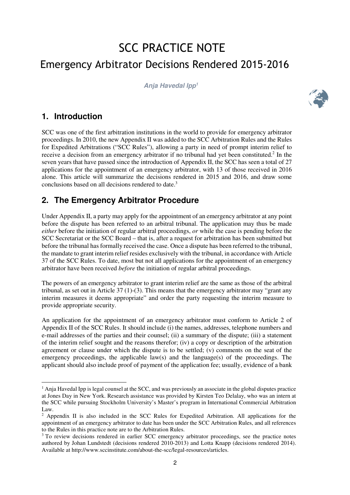# SCC PRACTICE NOTE Emergency Arbitrator Decisions Rendered 2015-2016

**Anja Havedal Ipp<sup>1</sup>**



# **1. Introduction**

 $\overline{a}$ 

SCC was one of the first arbitration institutions in the world to provide for emergency arbitrator proceedings. In 2010, the new Appendix II was added to the SCC Arbitration Rules and the Rules for Expedited Arbitrations ("SCC Rules"), allowing a party in need of prompt interim relief to receive a decision from an emergency arbitrator if no tribunal had yet been constituted.<sup>2</sup> In the seven years that have passed since the introduction of Appendix II, the SCC has seen a total of 27 applications for the appointment of an emergency arbitrator, with 13 of those received in 2016 alone. This article will summarize the decisions rendered in 2015 and 2016, and draw some conclusions based on all decisions rendered to date. 3

# **2. The Emergency Arbitrator Procedure**

Under Appendix II, a party may apply for the appointment of an emergency arbitrator at any point before the dispute has been referred to an arbitral tribunal. The application may thus be made *either* before the initiation of regular arbitral proceedings, *or* while the case is pending before the SCC Secretariat or the SCC Board – that is, after a request for arbitration has been submitted but before the tribunal has formally received the case. Once a dispute has been referred to the tribunal, the mandate to grant interim relief resides exclusively with the tribunal, in accordance with Article 37 of the SCC Rules. To date, most but not all applications for the appointment of an emergency arbitrator have been received *before* the initiation of regular arbitral proceedings.

The powers of an emergency arbitrator to grant interim relief are the same as those of the arbitral tribunal, as set out in Article  $37$  (1)-(3). This means that the emergency arbitrator may "grant any interim measures it deems appropriate" and order the party requesting the interim measure to provide appropriate security.

An application for the appointment of an emergency arbitrator must conform to Article 2 of Appendix II of the SCC Rules. It should include (i) the names, addresses, telephone numbers and e-mail addresses of the parties and their counsel; (ii) a summary of the dispute; (iii) a statement of the interim relief sought and the reasons therefor; (iv) a copy or description of the arbitration agreement or clause under which the dispute is to be settled; (v) comments on the seat of the emergency proceedings, the applicable law(s) and the language(s) of the proceedings. The applicant should also include proof of payment of the application fee; usually, evidence of a bank

<sup>&</sup>lt;sup>1</sup> Anja Havedal Ipp is legal counsel at the SCC, and was previously an associate in the global disputes practice at Jones Day in New York. Research assistance was provided by Kirsten Teo Delalay, who was an intern at the SCC while pursuing Stockholm University's Master's program in International Commercial Arbitration Law.

<sup>&</sup>lt;sup>2</sup> Appendix II is also included in the SCC Rules for Expedited Arbitration. All applications for the appointment of an emergency arbitrator to date has been under the SCC Arbitration Rules, and all references to the Rules in this practice note are to the Arbitration Rules.

<sup>&</sup>lt;sup>3</sup> To review decisions rendered in earlier SCC emergency arbitrator proceedings, see the practice notes authored by Johan Lundstedt (decisions rendered 2010-2013) and Lotta Knapp (decisions rendered 2014). Available at http://www.sccinstitute.com/about-the-scc/legal-resources/articles.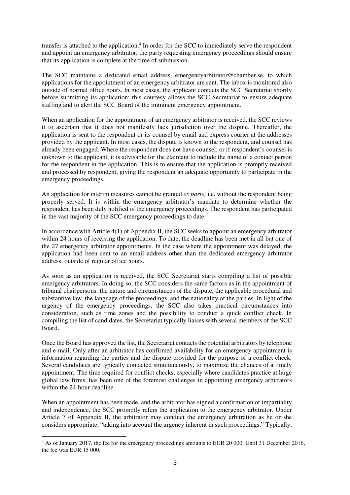transfer is attached to the application.<sup>4</sup> In order for the SCC to immediately serve the respondent and appoint an emergency arbitrator, the party requesting emergency proceedings should ensure that its application is complete at the time of submission.

The SCC maintains a dedicated email address, emergencyarbitrator@chamber.se, to which applications for the appointment of an emergency arbitrator are sent. The inbox is monitored also outside of normal office hours. In most cases, the applicant contacts the SCC Secretariat shortly before submitting its application; this courtesy allows the SCC Secretariat to ensure adequate staffing and to alert the SCC Board of the imminent emergency appointment.

When an application for the appointment of an emergency arbitrator is received, the SCC reviews it to ascertain that it does not manifestly lack jurisdiction over the dispute. Thereafter, the application is sent to the respondent or its counsel by email and express courier at the addresses provided by the applicant. In most cases, the dispute is known to the respondent, and counsel has already been engaged. Where the respondent does not have counsel, or if respondent's counsel is unknown to the applicant, it is advisable for the claimant to include the name of a contact person for the respondent in the application. This is to ensure that the application is promptly received and processed by respondent, giving the respondent an adequate opportunity to participate in the emergency proceedings.

An application for interim measures cannot be granted *ex parte,* i.e. without the respondent being properly served. It is within the emergency arbitrator's mandate to determine whether the respondent has been duly notified of the emergency proceedings. The respondent has participated in the vast majority of the SCC emergency proceedings to date.

In accordance with Article 4(1) of Appendix II, the SCC seeks to appoint an emergency arbitrator within 24 hours of receiving the application. To date, the deadline has been met in all but one of the 27 emergency arbitrator appointments. In the case where the appointment was delayed, the application had been sent to an email address other than the dedicated emergency arbitrator address, outside of regular office hours.

As soon as an application is received, the SCC Secretariat starts compiling a list of possible emergency arbitrators. In doing so, the SCC considers the same factors as in the appointment of tribunal chairpersons: the nature and circumstances of the dispute, the applicable procedural and substantive law, the language of the proceedings, and the nationality of the parties. In light of the urgency of the emergency proceedings, the SCC also takes practical circumstances into consideration, such as time zones and the possibility to conduct a quick conflict check. In compiling the list of candidates, the Secretariat typically liaises with several members of the SCC Board.

Once the Board has approved the list, the Secretariat contacts the potential arbitrators by telephone and e-mail. Only after an arbitrator has confirmed availability for an emergency appointment is information regarding the parties and the dispute provided for the purpose of a conflict check. Several candidates are typically contacted simultaneously, to maximize the chances of a timely appointment. The time required for conflict checks, especially where candidates practice at large global law firms, has been one of the foremost challenges in appointing emergency arbitrators within the 24-hour deadline.

When an appointment has been made, and the arbitrator has signed a confirmation of impartiality and independence, the SCC promptly refers the application to the emergency arbitrator. Under Article 7 of Appendix II, the arbitrator may conduct the emergency arbitration as he or she considers appropriate, "taking into account the urgency inherent in such proceedings." Typically,

 $\overline{a}$ 

<sup>4</sup> As of January 2017, the fee for the emergency proceedings amounts to EUR 20 000. Until 31 December 2016, the fee was EUR 15 000.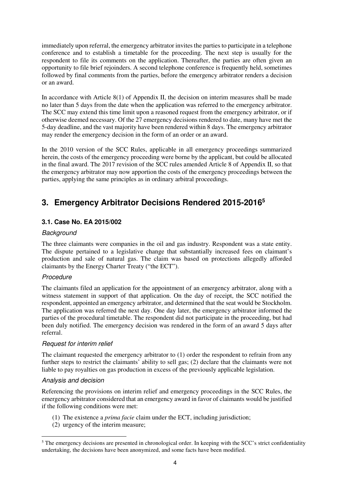immediately upon referral, the emergency arbitrator invites the parties to participate in a telephone conference and to establish a timetable for the proceeding. The next step is usually for the respondent to file its comments on the application. Thereafter, the parties are often given an opportunity to file brief rejoinders. A second telephone conference is frequently held, sometimes followed by final comments from the parties, before the emergency arbitrator renders a decision or an award.

In accordance with Article  $8(1)$  of Appendix II, the decision on interim measures shall be made no later than 5 days from the date when the application was referred to the emergency arbitrator. The SCC may extend this time limit upon a reasoned request from the emergency arbitrator, or if otherwise deemed necessary. Of the 27 emergency decisions rendered to date, many have met the 5-day deadline, and the vast majority have been rendered within 8 days. The emergency arbitrator may render the emergency decision in the form of an order or an award.

In the 2010 version of the SCC Rules, applicable in all emergency proceedings summarized herein, the costs of the emergency proceeding were borne by the applicant, but could be allocated in the final award. The 2017 revision of the SCC rules amended Article 8 of Appendix II, so that the emergency arbitrator may now apportion the costs of the emergency proceedings between the parties, applying the same principles as in ordinary arbitral proceedings.

# **3. Emergency Arbitrator Decisions Rendered 2015-2016 5**

# **3.1. Case No. EA 2015/002**

# **Background**

The three claimants were companies in the oil and gas industry. Respondent was a state entity. The dispute pertained to a legislative change that substantially increased fees on claimant's production and sale of natural gas. The claim was based on protections allegedly afforded claimants by the Energy Charter Treaty ("the ECT").

# Procedure

The claimants filed an application for the appointment of an emergency arbitrator, along with a witness statement in support of that application. On the day of receipt, the SCC notified the respondent, appointed an emergency arbitrator, and determined that the seat would be Stockholm. The application was referred the next day. One day later, the emergency arbitrator informed the parties of the procedural timetable. The respondent did not participate in the proceeding, but had been duly notified. The emergency decision was rendered in the form of an award 5 days after referral.

# Request for interim relief

The claimant requested the emergency arbitrator to (1) order the respondent to refrain from any further steps to restrict the claimants' ability to sell gas; (2) declare that the claimants were not liable to pay royalties on gas production in excess of the previously applicable legislation.

# Analysis and decision

 $\overline{a}$ 

Referencing the provisions on interim relief and emergency proceedings in the SCC Rules, the emergency arbitrator considered that an emergency award in favor of claimants would be justified if the following conditions were met:

- (1) The existence a *prima facie* claim under the ECT, including jurisdiction;
- (2) urgency of the interim measure;

<sup>&</sup>lt;sup>5</sup> The emergency decisions are presented in chronological order. In keeping with the SCC's strict confidentiality undertaking, the decisions have been anonymized, and some facts have been modified.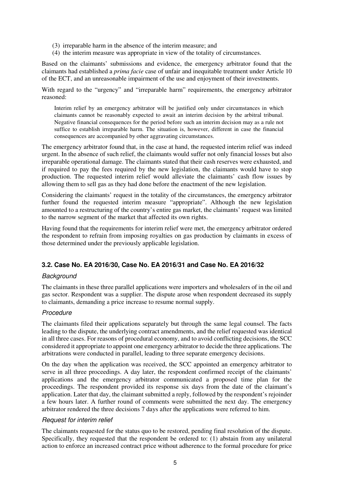- (3) irreparable harm in the absence of the interim measure; and
- (4) the interim measure was appropriate in view of the totality of circumstances.

Based on the claimants' submissions and evidence, the emergency arbitrator found that the claimants had established a *prima facie* case of unfair and inequitable treatment under Article 10 of the ECT, and an unreasonable impairment of the use and enjoyment of their investments.

With regard to the "urgency" and "irreparable harm" requirements, the emergency arbitrator reasoned:

Interim relief by an emergency arbitrator will be justified only under circumstances in which claimants cannot be reasonably expected to await an interim decision by the arbitral tribunal. Negative financial consequences for the period before such an interim decision may as a rule not suffice to establish irreparable harm. The situation is, however, different in case the financial consequences are accompanied by other aggravating circumstances.

The emergency arbitrator found that, in the case at hand, the requested interim relief was indeed urgent. In the absence of such relief, the claimants would suffer not only financial losses but also irreparable operational damage. The claimants stated that their cash reserves were exhausted, and if required to pay the fees required by the new legislation, the claimants would have to stop production. The requested interim relief would alleviate the claimants' cash flow issues by allowing them to sell gas as they had done before the enactment of the new legislation.

Considering the claimants' request in the totality of the circumstances, the emergency arbitrator further found the requested interim measure "appropriate". Although the new legislation amounted to a restructuring of the country's entire gas market, the claimants' request was limited to the narrow segment of the market that affected its own rights.

Having found that the requirements for interim relief were met, the emergency arbitrator ordered the respondent to refrain from imposing royalties on gas production by claimants in excess of those determined under the previously applicable legislation.

# **3.2. Case No. EA 2016/30, Case No. EA 2016/31 and Case No. EA 2016/32**

#### **Background**

The claimants in these three parallel applications were importers and wholesalers of in the oil and gas sector. Respondent was a supplier. The dispute arose when respondent decreased its supply to claimants, demanding a price increase to resume normal supply.

# Procedure

The claimants filed their applications separately but through the same legal counsel. The facts leading to the dispute, the underlying contract amendments, and the relief requested was identical in all three cases. For reasons of procedural economy, and to avoid conflicting decisions, the SCC considered it appropriate to appoint one emergency arbitrator to decide the three applications. The arbitrations were conducted in parallel, leading to three separate emergency decisions.

On the day when the application was received, the SCC appointed an emergency arbitrator to serve in all three proceedings. A day later, the respondent confirmed receipt of the claimants' applications and the emergency arbitrator communicated a proposed time plan for the proceedings. The respondent provided its response six days from the date of the claimant's application. Later that day, the claimant submitted a reply, followed by the respondent's rejoinder a few hours later. A further round of comments were submitted the next day. The emergency arbitrator rendered the three decisions 7 days after the applications were referred to him.

#### Request for interim relief

The claimants requested for the status quo to be restored, pending final resolution of the dispute. Specifically, they requested that the respondent be ordered to: (1) abstain from any unilateral action to enforce an increased contract price without adherence to the formal procedure for price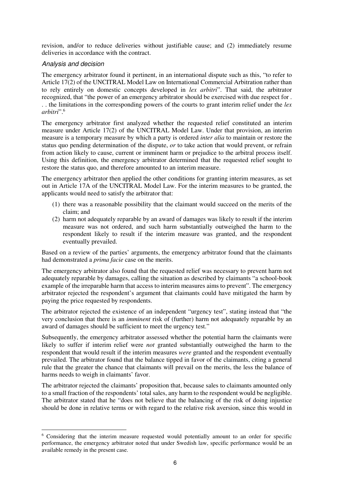revision, and/or to reduce deliveries without justifiable cause; and (2) immediately resume deliveries in accordance with the contract.

#### Analysis and decision

 $\overline{a}$ 

The emergency arbitrator found it pertinent, in an international dispute such as this, "to refer to Article 17(2) of the UNCITRAL Model Law on International Commercial Arbitration rather than to rely entirely on domestic concepts developed in *lex arbitri*". That said, the arbitrator recognized, that "the power of an emergency arbitrator should be exercised with due respect for . . . the limitations in the corresponding powers of the courts to grant interim relief under the *lex arbitri*".<sup>6</sup>

The emergency arbitrator first analyzed whether the requested relief constituted an interim measure under Article 17(2) of the UNCITRAL Model Law. Under that provision, an interim measure is a temporary measure by which a party is ordered *inter alia* to maintain or restore the status quo pending determination of the dispute, *or* to take action that would prevent, or refrain from action likely to cause, current or imminent harm or prejudice to the arbitral process itself. Using this definition, the emergency arbitrator determined that the requested relief sought to restore the status quo, and therefore amounted to an interim measure.

The emergency arbitrator then applied the other conditions for granting interim measures, as set out in Article 17A of the UNCITRAL Model Law. For the interim measures to be granted, the applicants would need to satisfy the arbitrator that:

- (1) there was a reasonable possibility that the claimant would succeed on the merits of the claim; and
- (2) harm not adequately reparable by an award of damages was likely to result if the interim measure was not ordered, and such harm substantially outweighed the harm to the respondent likely to result if the interim measure was granted, and the respondent eventually prevailed.

Based on a review of the parties' arguments, the emergency arbitrator found that the claimants had demonstrated a *prima facie* case on the merits.

The emergency arbitrator also found that the requested relief was necessary to prevent harm not adequately reparable by damages, calling the situation as described by claimants "a school-book example of the irreparable harm that access to interim measures aims to prevent". The emergency arbitrator rejected the respondent's argument that claimants could have mitigated the harm by paying the price requested by respondents.

The arbitrator rejected the existence of an independent "urgency test", stating instead that "the very conclusion that there is an *imminent* risk of (further) harm not adequately reparable by an award of damages should be sufficient to meet the urgency test."

Subsequently, the emergency arbitrator assessed whether the potential harm the claimants were likely to suffer if interim relief were *not* granted substantially outweighed the harm to the respondent that would result if the interim measures *were* granted and the respondent eventually prevailed. The arbitrator found that the balance tipped in favor of the claimants, citing a general rule that the greater the chance that claimants will prevail on the merits, the less the balance of harms needs to weigh in claimants' favor.

The arbitrator rejected the claimants' proposition that, because sales to claimants amounted only to a small fraction of the respondents' total sales, any harm to the respondent would be negligible. The arbitrator stated that he "does not believe that the balancing of the risk of doing injustice should be done in relative terms or with regard to the relative risk aversion, since this would in

<sup>&</sup>lt;sup>6</sup> Considering that the interim measure requested would potentially amount to an order for specific performance, the emergency arbitrator noted that under Swedish law, specific performance would be an available remedy in the present case.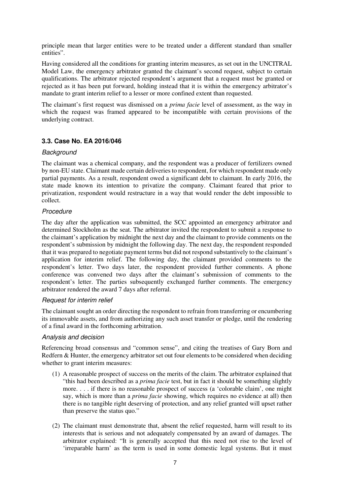principle mean that larger entities were to be treated under a different standard than smaller entities".

Having considered all the conditions for granting interim measures, as set out in the UNCITRAL Model Law, the emergency arbitrator granted the claimant's second request, subject to certain qualifications. The arbitrator rejected respondent's argument that a request must be granted or rejected as it has been put forward, holding instead that it is within the emergency arbitrator's mandate to grant interim relief to a lesser or more confined extent than requested.

The claimant's first request was dismissed on a *prima facie* level of assessment, as the way in which the request was framed appeared to be incompatible with certain provisions of the underlying contract.

# **3.3. Case No. EA 2016/046**

#### **Background**

The claimant was a chemical company, and the respondent was a producer of fertilizers owned by non-EU state. Claimant made certain deliveries to respondent, for which respondent made only partial payments. As a result, respondent owed a significant debt to claimant. In early 2016, the state made known its intention to privatize the company. Claimant feared that prior to privatization, respondent would restructure in a way that would render the debt impossible to collect.

# **Procedure**

The day after the application was submitted, the SCC appointed an emergency arbitrator and determined Stockholm as the seat. The arbitrator invited the respondent to submit a response to the claimant's application by midnight the next day and the claimant to provide comments on the respondent's submission by midnight the following day. The next day, the respondent responded that it was prepared to negotiate payment terms but did not respond substantively to the claimant's application for interim relief. The following day, the claimant provided comments to the respondent's letter. Two days later, the respondent provided further comments. A phone conference was convened two days after the claimant's submission of comments to the respondent's letter. The parties subsequently exchanged further comments. The emergency arbitrator rendered the award 7 days after referral.

#### Request for interim relief

The claimant sought an order directing the respondent to refrain from transferring or encumbering its immovable assets, and from authorizing any such asset transfer or pledge, until the rendering of a final award in the forthcoming arbitration.

#### Analysis and decision

Referencing broad consensus and "common sense", and citing the treatises of Gary Born and Redfern & Hunter, the emergency arbitrator set out four elements to be considered when deciding whether to grant interim measures:

- (1) A reasonable prospect of success on the merits of the claim. The arbitrator explained that "this had been described as a *prima facie* test, but in fact it should be something slightly more. . . . if there is no reasonable prospect of success (a 'colorable claim', one might say, which is more than a *prima facie* showing, which requires no evidence at all) then there is no tangible right deserving of protection, and any relief granted will upset rather than preserve the status quo."
- (2) The claimant must demonstrate that, absent the relief requested, harm will result to its interests that is serious and not adequately compensated by an award of damages. The arbitrator explained: "It is generally accepted that this need not rise to the level of 'irreparable harm' as the term is used in some domestic legal systems. But it must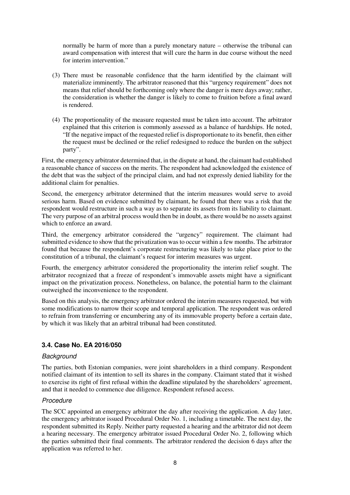normally be harm of more than a purely monetary nature – otherwise the tribunal can award compensation with interest that will cure the harm in due course without the need for interim intervention."

- (3) There must be reasonable confidence that the harm identified by the claimant will materialize imminently. The arbitrator reasoned that this "urgency requirement" does not means that relief should be forthcoming only where the danger is mere days away; rather, the consideration is whether the danger is likely to come to fruition before a final award is rendered.
- (4) The proportionality of the measure requested must be taken into account. The arbitrator explained that this criterion is commonly assessed as a balance of hardships. He noted, "If the negative impact of the requested relief is disproportionate to its benefit, then either the request must be declined or the relief redesigned to reduce the burden on the subject party".

First, the emergency arbitrator determined that, in the dispute at hand, the claimant had established a reasonable chance of success on the merits. The respondent had acknowledged the existence of the debt that was the subject of the principal claim, and had not expressly denied liability for the additional claim for penalties.

Second, the emergency arbitrator determined that the interim measures would serve to avoid serious harm. Based on evidence submitted by claimant, he found that there was a risk that the respondent would restructure in such a way as to separate its assets from its liability to claimant. The very purpose of an arbitral process would then be in doubt, as there would be no assets against which to enforce an award.

Third, the emergency arbitrator considered the "urgency" requirement. The claimant had submitted evidence to show that the privatization was to occur within a few months. The arbitrator found that because the respondent's corporate restructuring was likely to take place prior to the constitution of a tribunal, the claimant's request for interim measures was urgent.

Fourth, the emergency arbitrator considered the proportionality the interim relief sought. The arbitrator recognized that a freeze of respondent's immovable assets might have a significant impact on the privatization process. Nonetheless, on balance, the potential harm to the claimant outweighed the inconvenience to the respondent.

Based on this analysis, the emergency arbitrator ordered the interim measures requested, but with some modifications to narrow their scope and temporal application. The respondent was ordered to refrain from transferring or encumbering any of its immovable property before a certain date, by which it was likely that an arbitral tribunal had been constituted.

# **3.4. Case No. EA 2016/050**

#### **Background**

The parties, both Estonian companies, were joint shareholders in a third company. Respondent notified claimant of its intention to sell its shares in the company. Claimant stated that it wished to exercise its right of first refusal within the deadline stipulated by the shareholders' agreement, and that it needed to commence due diligence. Respondent refused access.

# Procedure

The SCC appointed an emergency arbitrator the day after receiving the application. A day later, the emergency arbitrator issued Procedural Order No. 1, including a timetable. The next day, the respondent submitted its Reply. Neither party requested a hearing and the arbitrator did not deem a hearing necessary. The emergency arbitrator issued Procedural Order No. 2, following which the parties submitted their final comments. The arbitrator rendered the decision 6 days after the application was referred to her.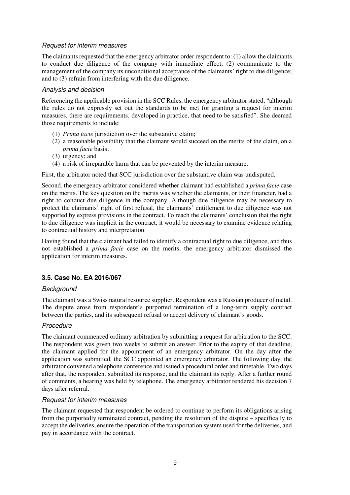# Request for interim measures

The claimants requested that the emergency arbitrator order respondent to: (1) allow the claimants to conduct due diligence of the company with immediate effect; (2) communicate to the management of the company its unconditional acceptance of the claimants' right to due diligence; and to (3) refrain from interfering with the due diligence.

# Analysis and decision

Referencing the applicable provision in the SCC Rules, the emergency arbitrator stated, "although the rules do not expressly set out the standards to be met for granting a request for interim measures, there are requirements, developed in practice, that need to be satisfied". She deemed those requirements to include:

- (1) *Prima facie* jurisdiction over the substantive claim;
- (2) a reasonable possibility that the claimant would succeed on the merits of the claim, on a *prima facie* basis;
- (3) urgency; and
- (4) a risk of irreparable harm that can be prevented by the interim measure.

First, the arbitrator noted that SCC jurisdiction over the substantive claim was undisputed.

Second, the emergency arbitrator considered whether claimant had established a *prima facie* case on the merits. The key question on the merits was whether the claimants, or their financier, had a right to conduct due diligence in the company. Although due diligence may be necessary to protect the claimants' right of first refusal, the claimants' entitlement to due diligence was not supported by express provisions in the contract. To reach the claimants' conclusion that the right to due diligence was implicit in the contract, it would be necessary to examine evidence relating to contractual history and interpretation.

Having found that the claimant had failed to identify a contractual right to due diligence, and thus not established a *prima facie* case on the merits, the emergency arbitrator dismissed the application for interim measures.

# **3.5. Case No. EA 2016/067**

# **Background**

The claimant was a Swiss natural resource supplier. Respondent was a Russian producer of metal. The dispute arose from respondent's purported termination of a long-term supply contract between the parties, and its subsequent refusal to accept delivery of claimant's goods.

# **Procedure**

The claimant commenced ordinary arbitration by submitting a request for arbitration to the SCC. The respondent was given two weeks to submit an answer. Prior to the expiry of that deadline, the claimant applied for the appointment of an emergency arbitrator. On the day after the application was submitted, the SCC appointed an emergency arbitrator. The following day, the arbitrator convened a telephone conference and issued a procedural order and timetable. Two days after that, the respondent submitted its response, and the claimant its reply. After a further round of comments, a hearing was held by telephone. The emergency arbitrator rendered his decision 7 days after referral.

# Request for interim measures

The claimant requested that respondent be ordered to continue to perform its obligations arising from the purportedly terminated contract, pending the resolution of the dispute – specifically to accept the deliveries, ensure the operation of the transportation system used for the deliveries, and pay in accordance with the contract.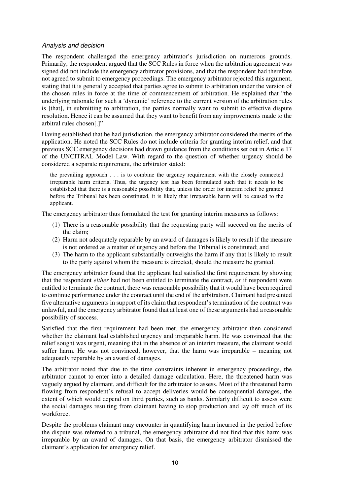#### Analysis and decision

The respondent challenged the emergency arbitrator's jurisdiction on numerous grounds. Primarily, the respondent argued that the SCC Rules in force when the arbitration agreement was signed did not include the emergency arbitrator provisions, and that the respondent had therefore not agreed to submit to emergency proceedings. The emergency arbitrator rejected this argument, stating that it is generally accepted that parties agree to submit to arbitration under the version of the chosen rules in force at the time of commencement of arbitration. He explained that "the underlying rationale for such a 'dynamic' reference to the current version of the arbitration rules is [that], in submitting to arbitration, the parties normally want to submit to effective dispute resolution. Hence it can be assumed that they want to benefit from any improvements made to the arbitral rules chosen[.]"

Having established that he had jurisdiction, the emergency arbitrator considered the merits of the application. He noted the SCC Rules do not include criteria for granting interim relief, and that previous SCC emergency decisions had drawn guidance from the conditions set out in Article 17 of the UNCITRAL Model Law. With regard to the question of whether urgency should be considered a separate requirement, the arbitrator stated:

the prevailing approach . . . is to combine the urgency requirement with the closely connected irreparable harm criteria. Thus, the urgency test has been formulated such that it needs to be established that there is a reasonable possibility that, unless the order for interim relief be granted before the Tribunal has been constituted, it is likely that irreparable harm will be caused to the applicant.

The emergency arbitrator thus formulated the test for granting interim measures as follows:

- (1) There is a reasonable possibility that the requesting party will succeed on the merits of the claim;
- (2) Harm not adequately reparable by an award of damages is likely to result if the measure is not ordered as a matter of urgency and before the Tribunal is constituted; and
- (3) The harm to the applicant substantially outweighs the harm if any that is likely to result to the party against whom the measure is directed, should the measure be granted.

The emergency arbitrator found that the applicant had satisfied the first requirement by showing that the respondent *either* had not been entitled to terminate the contract, *or* if respondent were entitled to terminate the contract, there was reasonable possibility that it would have been required to continue performance under the contract until the end of the arbitration. Claimant had presented five alternative arguments in support of its claim that respondent's termination of the contract was unlawful, and the emergency arbitrator found that at least one of these arguments had a reasonable possibility of success.

Satisfied that the first requirement had been met, the emergency arbitrator then considered whether the claimant had established urgency and irreparable harm. He was convinced that the relief sought was urgent, meaning that in the absence of an interim measure, the claimant would suffer harm. He was not convinced, however, that the harm was irreparable – meaning not adequately reparable by an award of damages.

The arbitrator noted that due to the time constraints inherent in emergency proceedings, the arbitrator cannot to enter into a detailed damage calculation. Here, the threatened harm was vaguely argued by claimant, and difficult for the arbitrator to assess. Most of the threatened harm flowing from respondent's refusal to accept deliveries would be consequential damages, the extent of which would depend on third parties, such as banks. Similarly difficult to assess were the social damages resulting from claimant having to stop production and lay off much of its workforce.

Despite the problems claimant may encounter in quantifying harm incurred in the period before the dispute was referred to a tribunal, the emergency arbitrator did not find that this harm was irreparable by an award of damages. On that basis, the emergency arbitrator dismissed the claimant's application for emergency relief.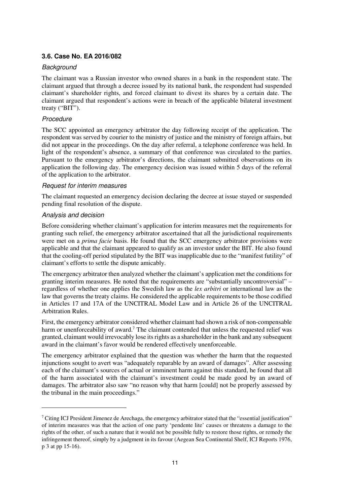# **3.6. Case No. EA 2016/082**

# **Background**

The claimant was a Russian investor who owned shares in a bank in the respondent state. The claimant argued that through a decree issued by its national bank, the respondent had suspended claimant's shareholder rights, and forced claimant to divest its shares by a certain date. The claimant argued that respondent's actions were in breach of the applicable bilateral investment treaty ("BIT").

# Procedure

The SCC appointed an emergency arbitrator the day following receipt of the application. The respondent was served by courier to the ministry of justice and the ministry of foreign affairs, but did not appear in the proceedings. On the day after referral, a telephone conference was held. In light of the respondent's absence, a summary of that conference was circulated to the parties. Pursuant to the emergency arbitrator's directions, the claimant submitted observations on its application the following day. The emergency decision was issued within 5 days of the referral of the application to the arbitrator.

#### Request for interim measures

The claimant requested an emergency decision declaring the decree at issue stayed or suspended pending final resolution of the dispute.

# Analysis and decision

 $\overline{a}$ 

Before considering whether claimant's application for interim measures met the requirements for granting such relief, the emergency arbitrator ascertained that all the jurisdictional requirements were met on a *prima facie* basis. He found that the SCC emergency arbitrator provisions were applicable and that the claimant appeared to qualify as an investor under the BIT. He also found that the cooling-off period stipulated by the BIT was inapplicable due to the "manifest futility" of claimant's efforts to settle the dispute amicably.

The emergency arbitrator then analyzed whether the claimant's application met the conditions for granting interim measures. He noted that the requirements are "substantially uncontroversial" – regardless of whether one applies the Swedish law as the *lex arbitri* or international law as the law that governs the treaty claims. He considered the applicable requirements to be those codified in Articles 17 and 17A of the UNCITRAL Model Law and in Article 26 of the UNCITRAL Arbitration Rules.

First, the emergency arbitrator considered whether claimant had shown a risk of non-compensable harm or unenforceability of award.<sup>7</sup> The claimant contended that unless the requested relief was granted, claimant would irrevocably lose its rights as a shareholder in the bank and any subsequent award in the claimant's favor would be rendered effectively unenforceable.

The emergency arbitrator explained that the question was whether the harm that the requested injunctions sought to avert was "adequately reparable by an award of damages". After assessing each of the claimant's sources of actual or imminent harm against this standard, he found that all of the harm associated with the claimant's investment could be made good by an award of damages. The arbitrator also saw "no reason why that harm [could] not be properly assessed by the tribunal in the main proceedings."

<sup>&</sup>lt;sup>7</sup> Citing ICJ President Jimenez de Arechaga, the emergency arbitrator stated that the "essential justification" of interim measures was that the action of one party 'pendente lite' causes or threatens a damage to the rights of the other, of such a nature that it would not be possible fully to restore those rights, or remedy the infringement thereof, simply by a judgment in its favour (Aegean Sea Continental Shelf, ICJ Reports 1976, p 3 at pp 15-16).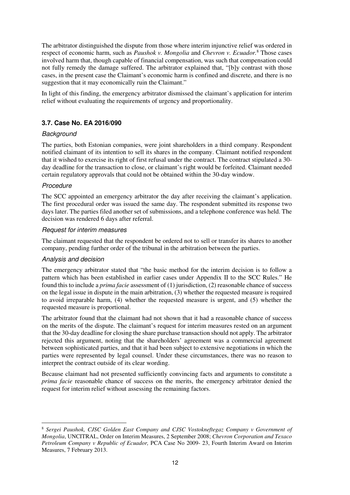The arbitrator distinguished the dispute from those where interim injunctive relief was ordered in respect of economic harm, such as *Paushok v. Mongolia* and *Chevron v. Ecuador.*<sup>8</sup> Those cases involved harm that, though capable of financial compensation, was such that compensation could not fully remedy the damage suffered. The arbitrator explained that, "[b]y contrast with those cases, in the present case the Claimant's economic harm is confined and discrete, and there is no suggestion that it may economically ruin the Claimant."

In light of this finding, the emergency arbitrator dismissed the claimant's application for interim relief without evaluating the requirements of urgency and proportionality.

# **3.7. Case No. EA 2016/090**

#### **Background**

The parties, both Estonian companies, were joint shareholders in a third company. Respondent notified claimant of its intention to sell its shares in the company. Claimant notified respondent that it wished to exercise its right of first refusal under the contract. The contract stipulated a 30 day deadline for the transaction to close, or claimant's right would be forfeited. Claimant needed certain regulatory approvals that could not be obtained within the 30-day window.

#### **Procedure**

 $\overline{a}$ 

The SCC appointed an emergency arbitrator the day after receiving the claimant's application. The first procedural order was issued the same day. The respondent submitted its response two days later. The parties filed another set of submissions, and a telephone conference was held. The decision was rendered 6 days after referral.

#### Request for interim measures

The claimant requested that the respondent be ordered not to sell or transfer its shares to another company, pending further order of the tribunal in the arbitration between the parties.

# Analysis and decision

The emergency arbitrator stated that "the basic method for the interim decision is to follow a pattern which has been established in earlier cases under Appendix II to the SCC Rules." He found this to include a *prima facie* assessment of (1) jurisdiction, (2) reasonable chance of success on the legal issue in dispute in the main arbitration, (3) whether the requested measure is required to avoid irreparable harm, (4) whether the requested measure is urgent, and (5) whether the requested measure is proportional.

The arbitrator found that the claimant had not shown that it had a reasonable chance of success on the merits of the dispute. The claimant's request for interim measures rested on an argument that the 30-day deadline for closing the share purchase transaction should not apply. The arbitrator rejected this argument, noting that the shareholders' agreement was a commercial agreement between sophisticated parties, and that it had been subject to extensive negotiations in which the parties were represented by legal counsel. Under these circumstances, there was no reason to interpret the contract outside of its clear wording.

Because claimant had not presented sufficiently convincing facts and arguments to constitute a *prima facie* reasonable chance of success on the merits, the emergency arbitrator denied the request for interim relief without assessing the remaining factors.

<sup>8</sup> *Sergei Paushok, CJSC Golden East Company and CJSC Vostokneftegaz Company v Government of Mongolia*, UNCITRAL, Order on Interim Measures, 2 September 2008; *Chevron Corporation and Texaco Petroleum Company v Republic of Ecuador,* PCA Case No 2009- 23, Fourth Interim Award on Interim Measures, 7 February 2013.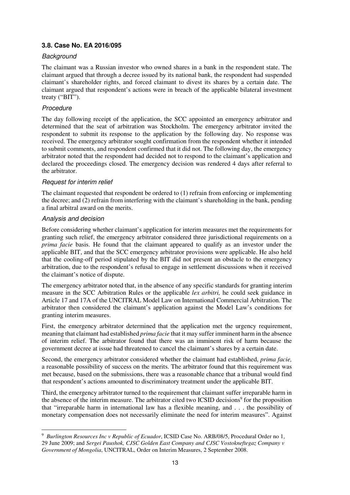# **3.8. Case No. EA 2016/095**

#### **Background**

The claimant was a Russian investor who owned shares in a bank in the respondent state. The claimant argued that through a decree issued by its national bank, the respondent had suspended claimant's shareholder rights, and forced claimant to divest its shares by a certain date. The claimant argued that respondent's actions were in breach of the applicable bilateral investment treaty ("BIT").

# **Procedure**

The day following receipt of the application, the SCC appointed an emergency arbitrator and determined that the seat of arbitration was Stockholm. The emergency arbitrator invited the respondent to submit its response to the application by the following day. No response was received. The emergency arbitrator sought confirmation from the respondent whether it intended to submit comments, and respondent confirmed that it did not. The following day, the emergency arbitrator noted that the respondent had decided not to respond to the claimant's application and declared the proceedings closed. The emergency decision was rendered 4 days after referral to the arbitrator.

# Request for interim relief

The claimant requested that respondent be ordered to (1) refrain from enforcing or implementing the decree; and (2) refrain from interfering with the claimant's shareholding in the bank, pending a final arbitral award on the merits.

#### Analysis and decision

 $\overline{a}$ 

Before considering whether claimant's application for interim measures met the requirements for granting such relief, the emergency arbitrator considered three jurisdictional requirements on a *prima facie* basis. He found that the claimant appeared to qualify as an investor under the applicable BIT, and that the SCC emergency arbitrator provisions were applicable. He also held that the cooling-off period stipulated by the BIT did not present an obstacle to the emergency arbitration, due to the respondent's refusal to engage in settlement discussions when it received the claimant's notice of dispute.

The emergency arbitrator noted that, in the absence of any specific standards for granting interim measure in the SCC Arbitration Rules or the applicable *lex arbitri,* he could seek guidance in Article 17 and 17A of the UNCITRAL Model Law on International Commercial Arbitration. The arbitrator then considered the claimant's application against the Model Law's conditions for granting interim measures.

First, the emergency arbitrator determined that the application met the urgency requirement, meaning that claimant had established *prima facie* that it may suffer imminent harm in the absence of interim relief. The arbitrator found that there was an imminent risk of harm because the government decree at issue had threatened to cancel the claimant's shares by a certain date.

Second, the emergency arbitrator considered whether the claimant had established, *prima facie,* a reasonable possibility of success on the merits. The arbitrator found that this requirement was met because, based on the submissions, there was a reasonable chance that a tribunal would find that respondent's actions amounted to discriminatory treatment under the applicable BIT.

Third, the emergency arbitrator turned to the requirement that claimant suffer irreparable harm in the absence of the interim measure. The arbitrator cited two ICSID decisions<sup>9</sup> for the proposition that "irreparable harm in international law has a flexible meaning, and . . . the possibility of monetary compensation does not necessarily eliminate the need for interim measures". Against

<sup>9</sup> *Burlington Resources Inc v Republic of Ecuador*, ICSID Case No. ARB/08/5, Procedural Order no 1, 29 June 2009; and *Sergei Paushok, CJSC Golden East Company and CJSC Vostokneftegaz Company v Government of Mongolia*, UNCITRAL, Order on Interim Measures, 2 September 2008.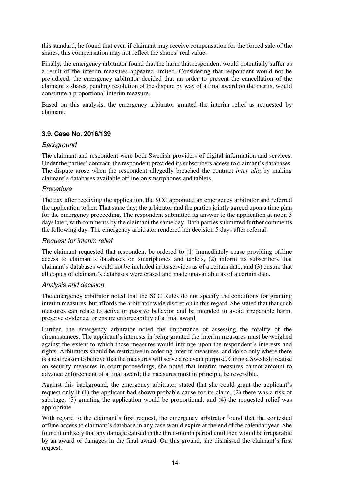this standard, he found that even if claimant may receive compensation for the forced sale of the shares, this compensation may not reflect the shares' real value.

Finally, the emergency arbitrator found that the harm that respondent would potentially suffer as a result of the interim measures appeared limited. Considering that respondent would not be prejudiced, the emergency arbitrator decided that an order to prevent the cancellation of the claimant's shares, pending resolution of the dispute by way of a final award on the merits, would constitute a proportional interim measure.

Based on this analysis, the emergency arbitrator granted the interim relief as requested by claimant.

# **3.9. Case No. 2016/139**

#### **Background**

The claimant and respondent were both Swedish providers of digital information and services. Under the parties' contract, the respondent provided its subscribers access to claimant's databases. The dispute arose when the respondent allegedly breached the contract *inter alia* by making claimant's databases available offline on smartphones and tablets.

#### Procedure

The day after receiving the application, the SCC appointed an emergency arbitrator and referred the application to her. That same day, the arbitrator and the parties jointly agreed upon a time plan for the emergency proceeding. The respondent submitted its answer to the application at noon 3 days later, with comments by the claimant the same day. Both parties submitted further comments the following day. The emergency arbitrator rendered her decision 5 days after referral.

#### Request for interim relief

The claimant requested that respondent be ordered to (1) immediately cease providing offline access to claimant's databases on smartphones and tablets, (2) inform its subscribers that claimant's databases would not be included in its services as of a certain date, and (3) ensure that all copies of claimant's databases were erased and made unavailable as of a certain date.

#### Analysis and decision

The emergency arbitrator noted that the SCC Rules do not specify the conditions for granting interim measures, but affords the arbitrator wide discretion in this regard. She stated that that such measures can relate to active or passive behavior and be intended to avoid irreparable harm, preserve evidence, or ensure enforceability of a final award.

Further, the emergency arbitrator noted the importance of assessing the totality of the circumstances. The applicant's interests in being granted the interim measures must be weighed against the extent to which those measures would infringe upon the respondent's interests and rights. Arbitrators should be restrictive in ordering interim measures, and do so only where there is a real reason to believe that the measures will serve a relevant purpose. Citing a Swedish treatise on security measures in court proceedings, she noted that interim measures cannot amount to advance enforcement of a final award; the measures must in principle be reversible.

Against this background, the emergency arbitrator stated that she could grant the applicant's request only if (1) the applicant had shown probable cause for its claim, (2) there was a risk of sabotage, (3) granting the application would be proportional, and (4) the requested relief was appropriate.

With regard to the claimant's first request, the emergency arbitrator found that the contested offline access to claimant's database in any case would expire at the end of the calendar year. She found it unlikely that any damage caused in the three-month period until then would be irreparable by an award of damages in the final award. On this ground, she dismissed the claimant's first request.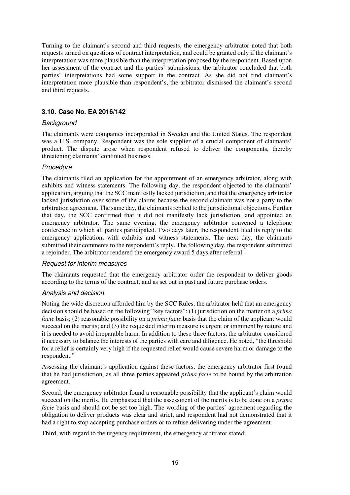Turning to the claimant's second and third requests, the emergency arbitrator noted that both requests turned on questions of contract interpretation, and could be granted only if the claimant's interpretation was more plausible than the interpretation proposed by the respondent. Based upon her assessment of the contract and the parties' submissions, the arbitrator concluded that both parties' interpretations had some support in the contract. As she did not find claimant's interpretation more plausible than respondent's, the arbitrator dismissed the claimant's second and third requests.

# **3.10. Case No. EA 2016/142**

#### **Background**

The claimants were companies incorporated in Sweden and the United States. The respondent was a U.S. company. Respondent was the sole supplier of a crucial component of claimants' product. The dispute arose when respondent refused to deliver the components, thereby threatening claimants' continued business.

# **Procedure**

The claimants filed an application for the appointment of an emergency arbitrator, along with exhibits and witness statements. The following day, the respondent objected to the claimants' application, arguing that the SCC manifestly lacked jurisdiction, and that the emergency arbitrator lacked jurisdiction over some of the claims because the second claimant was not a party to the arbitration agreement. The same day, the claimants replied to the jurisdictional objections. Further that day, the SCC confirmed that it did not manifestly lack jurisdiction, and appointed an emergency arbitrator. The same evening, the emergency arbitrator convened a telephone conference in which all parties participated. Two days later, the respondent filed its reply to the emergency application, with exhibits and witness statements. The next day, the claimants submitted their comments to the respondent's reply. The following day, the respondent submitted a rejoinder. The arbitrator rendered the emergency award 5 days after referral.

# Request for interim measures

The claimants requested that the emergency arbitrator order the respondent to deliver goods according to the terms of the contract, and as set out in past and future purchase orders.

# Analysis and decision

Noting the wide discretion afforded him by the SCC Rules, the arbitrator held that an emergency decision should be based on the following "key factors": (1) jurisdiction on the matter on a *prima facie* basis; (2) reasonable possibility on a *prima facie* basis that the claim of the applicant would succeed on the merits; and (3) the requested interim measure is urgent or imminent by nature and it is needed to avoid irreparable harm. In addition to these three factors, the arbitrator considered it necessary to balance the interests of the parties with care and diligence. He noted, "the threshold for a relief is certainly very high if the requested relief would cause severe harm or damage to the respondent."

Assessing the claimant's application against these factors, the emergency arbitrator first found that he had jurisdiction, as all three parties appeared *prima facie* to be bound by the arbitration agreement.

Second, the emergency arbitrator found a reasonable possibility that the applicant's claim would succeed on the merits. He emphasized that the assessment of the merits is to be done on a *prima facie* basis and should not be set too high. The wording of the parties' agreement regarding the obligation to deliver products was clear and strict, and respondent had not demonstrated that it had a right to stop accepting purchase orders or to refuse delivering under the agreement.

Third, with regard to the urgency requirement, the emergency arbitrator stated: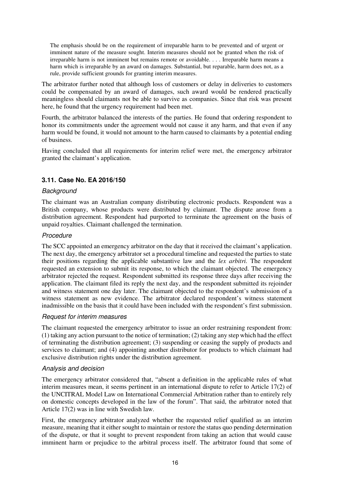The emphasis should be on the requirement of irreparable harm to be prevented and of urgent or imminent nature of the measure sought. Interim measures should not be granted when the risk of irreparable harm is not imminent but remains remote or avoidable. . . . Irreparable harm means a harm which is irreparable by an award on damages. Substantial, but reparable, harm does not, as a rule, provide sufficient grounds for granting interim measures.

The arbitrator further noted that although loss of customers or delay in deliveries to customers could be compensated by an award of damages, such award would be rendered practically meaningless should claimants not be able to survive as companies. Since that risk was present here, he found that the urgency requirement had been met.

Fourth, the arbitrator balanced the interests of the parties. He found that ordering respondent to honor its commitments under the agreement would not cause it any harm, and that even if any harm would be found, it would not amount to the harm caused to claimants by a potential ending of business.

Having concluded that all requirements for interim relief were met, the emergency arbitrator granted the claimant's application.

# **3.11. Case No. EA 2016/150**

#### **Background**

The claimant was an Australian company distributing electronic products. Respondent was a British company, whose products were distributed by claimant. The dispute arose from a distribution agreement. Respondent had purported to terminate the agreement on the basis of unpaid royalties. Claimant challenged the termination.

# Procedure

The SCC appointed an emergency arbitrator on the day that it received the claimant's application. The next day, the emergency arbitrator set a procedural timeline and requested the parties to state their positions regarding the applicable substantive law and the *lex arbitri.* The respondent requested an extension to submit its response, to which the claimant objected. The emergency arbitrator rejected the request. Respondent submitted its response three days after receiving the application. The claimant filed its reply the next day, and the respondent submitted its rejoinder and witness statement one day later. The claimant objected to the respondent's submission of a witness statement as new evidence. The arbitrator declared respondent's witness statement inadmissible on the basis that it could have been included with the respondent's first submission.

# Request for interim measures

The claimant requested the emergency arbitrator to issue an order restraining respondent from: (1) taking any action pursuant to the notice of termination; (2) taking any step which had the effect of terminating the distribution agreement; (3) suspending or ceasing the supply of products and services to claimant; and (4) appointing another distributor for products to which claimant had exclusive distribution rights under the distribution agreement.

#### Analysis and decision

The emergency arbitrator considered that, "absent a definition in the applicable rules of what interim measures mean, it seems pertinent in an international dispute to refer to Article 17(2) of the UNCITRAL Model Law on International Commercial Arbitration rather than to entirely rely on domestic concepts developed in the law of the forum". That said, the arbitrator noted that Article 17(2) was in line with Swedish law.

First, the emergency arbitrator analyzed whether the requested relief qualified as an interim measure, meaning that it either sought to maintain or restore the status quo pending determination of the dispute, or that it sought to prevent respondent from taking an action that would cause imminent harm or prejudice to the arbitral process itself. The arbitrator found that some of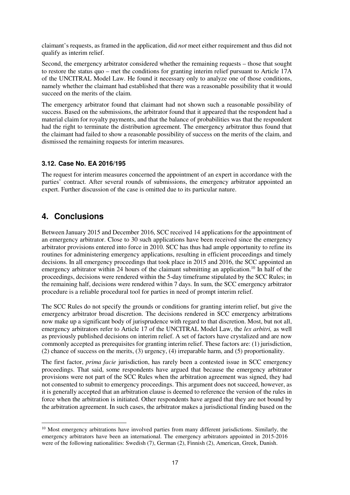claimant's requests, as framed in the application, did *not* meet either requirement and thus did not qualify as interim relief.

Second, the emergency arbitrator considered whether the remaining requests – those that sought to restore the status quo – met the conditions for granting interim relief pursuant to Article 17A of the UNCITRAL Model Law. He found it necessary only to analyze one of those conditions, namely whether the claimant had established that there was a reasonable possibility that it would succeed on the merits of the claim.

The emergency arbitrator found that claimant had not shown such a reasonable possibility of success. Based on the submissions, the arbitrator found that it appeared that the respondent had a material claim for royalty payments, and that the balance of probabilities was that the respondent had the right to terminate the distribution agreement. The emergency arbitrator thus found that the claimant had failed to show a reasonable possibility of success on the merits of the claim, and dismissed the remaining requests for interim measures.

# **3.12. Case No. EA 2016/195**

The request for interim measures concerned the appointment of an expert in accordance with the parties' contract. After several rounds of submissions, the emergency arbitrator appointed an expert. Further discussion of the case is omitted due to its particular nature.

# **4. Conclusions**

 $\overline{a}$ 

Between January 2015 and December 2016, SCC received 14 applications for the appointment of an emergency arbitrator. Close to 30 such applications have been received since the emergency arbitrator provisions entered into force in 2010. SCC has thus had ample opportunity to refine its routines for administering emergency applications, resulting in efficient proceedings and timely decisions. In all emergency proceedings that took place in 2015 and 2016, the SCC appointed an emergency arbitrator within 24 hours of the claimant submitting an application.<sup>10</sup> In half of the proceedings, decisions were rendered within the 5-day timeframe stipulated by the SCC Rules; in the remaining half, decisions were rendered within 7 days. In sum, the SCC emergency arbitrator procedure is a reliable procedural tool for parties in need of prompt interim relief.

The SCC Rules do not specify the grounds or conditions for granting interim relief, but give the emergency arbitrator broad discretion. The decisions rendered in SCC emergency arbitrations now make up a significant body of jurisprudence with regard to that discretion. Most, but not all, emergency arbitrators refer to Article 17 of the UNCITRAL Model Law, the *lex arbitri,* as well as previously published decisions on interim relief. A set of factors have crystalized and are now commonly accepted as prerequisites for granting interim relief. These factors are: (1) jurisdiction, (2) chance of success on the merits, (3) urgency, (4) irreparable harm, and (5) proportionality.

The first factor, *prima facie* jurisdiction, has rarely been a contested issue in SCC emergency proceedings. That said, some respondents have argued that because the emergency arbitrator provisions were not part of the SCC Rules when the arbitration agreement was signed, they had not consented to submit to emergency proceedings. This argument does not succeed, however, as it is generally accepted that an arbitration clause is deemed to reference the version of the rules in force when the arbitration is initiated. Other respondents have argued that they are not bound by the arbitration agreement. In such cases, the arbitrator makes a jurisdictional finding based on the

<sup>&</sup>lt;sup>10</sup> Most emergency arbitrations have involved parties from many different jurisdictions. Similarly, the emergency arbitrators have been an international. The emergency arbitrators appointed in 2015-2016 were of the following nationalities: Swedish (7), German (2), Finnish (2), American, Greek, Danish.